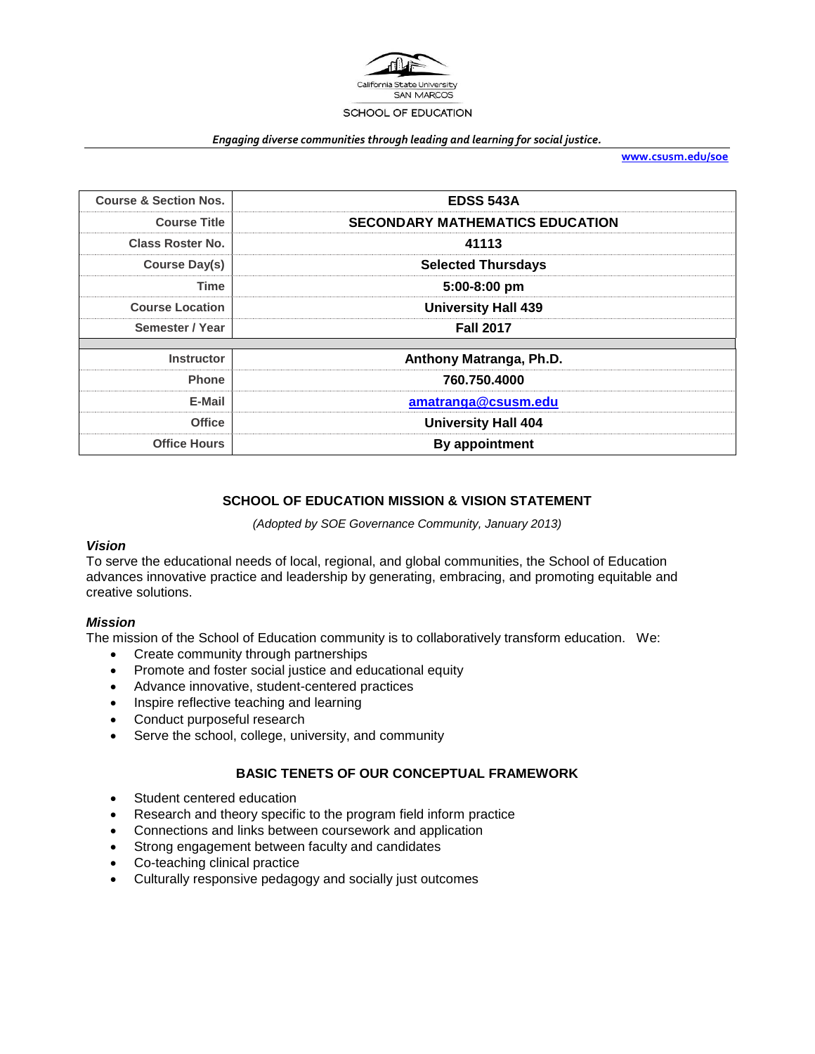

#### *Engaging diverse communities through leading and learning for social justice.*

**[www.csusm.edu/soe](http://www.csusm.edu/soe)**

| <b>Course &amp; Section Nos.</b> | <b>EDSS 543A</b>                       |  |
|----------------------------------|----------------------------------------|--|
| <b>Course Title</b>              | <b>SECONDARY MATHEMATICS EDUCATION</b> |  |
| <b>Class Roster No.</b>          | 41113                                  |  |
| Course Day(s)                    | <b>Selected Thursdays</b>              |  |
| <b>Time</b>                      | 5:00-8:00 pm                           |  |
| <b>Course Location</b>           | <b>University Hall 439</b>             |  |
| Semester / Year                  | <b>Fall 2017</b>                       |  |
|                                  |                                        |  |
| <b>Instructor</b>                | Anthony Matranga, Ph.D.                |  |
| <b>Phone</b>                     | 760.750.4000                           |  |
| E-Mail                           | amatranga@csusm.edu                    |  |
| <b>Office</b>                    | <b>University Hall 404</b>             |  |
| <b>Office Hours</b>              | By appointment                         |  |

# **SCHOOL OF EDUCATION MISSION & VISION STATEMENT**

*(Adopted by SOE Governance Community, January 2013)*

## *Vision*

To serve the educational needs of local, regional, and global communities, the School of Education advances innovative practice and leadership by generating, embracing, and promoting equitable and creative solutions.

## *Mission*

The mission of the School of Education community is to collaboratively transform education. We:

- Create community through partnerships
- Promote and foster social justice and educational equity
- Advance innovative, student-centered practices
- Inspire reflective teaching and learning
- Conduct purposeful research
- Serve the school, college, university, and community

## **BASIC TENETS OF OUR CONCEPTUAL FRAMEWORK**

- Student centered education
- Research and theory specific to the program field inform practice
- Connections and links between coursework and application
- Strong engagement between faculty and candidates
- Co-teaching clinical practice
- Culturally responsive pedagogy and socially just outcomes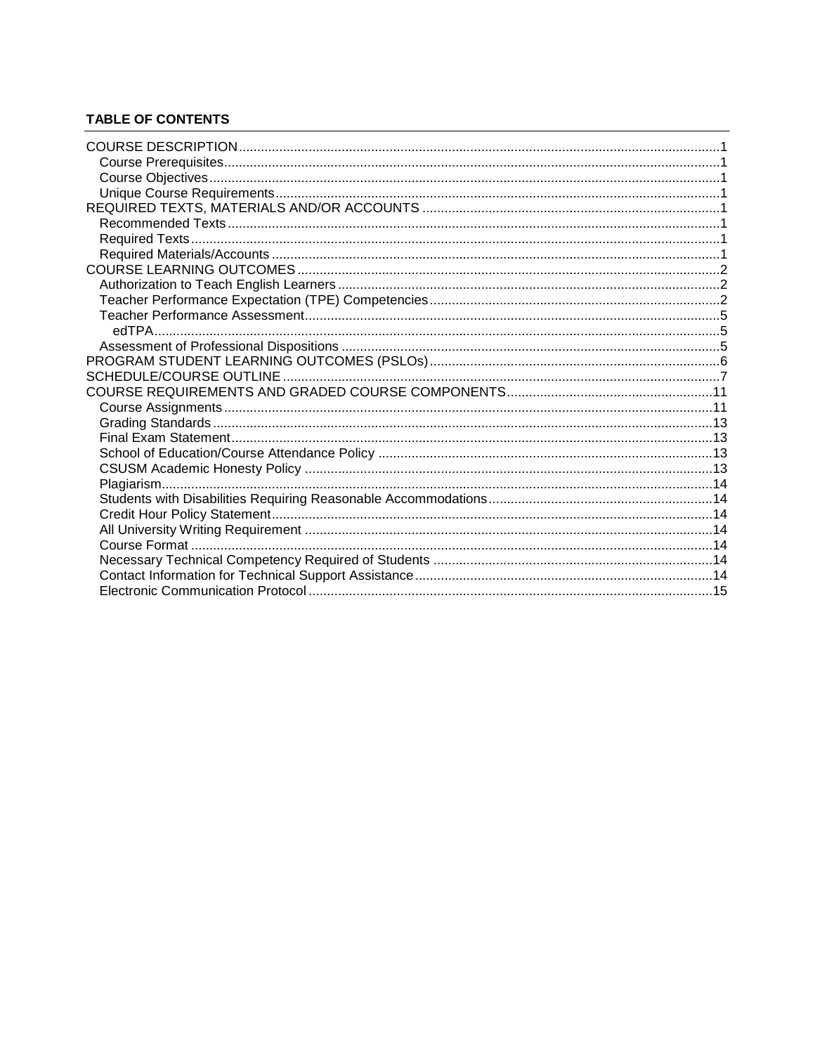# **TABLE OF CONTENTS**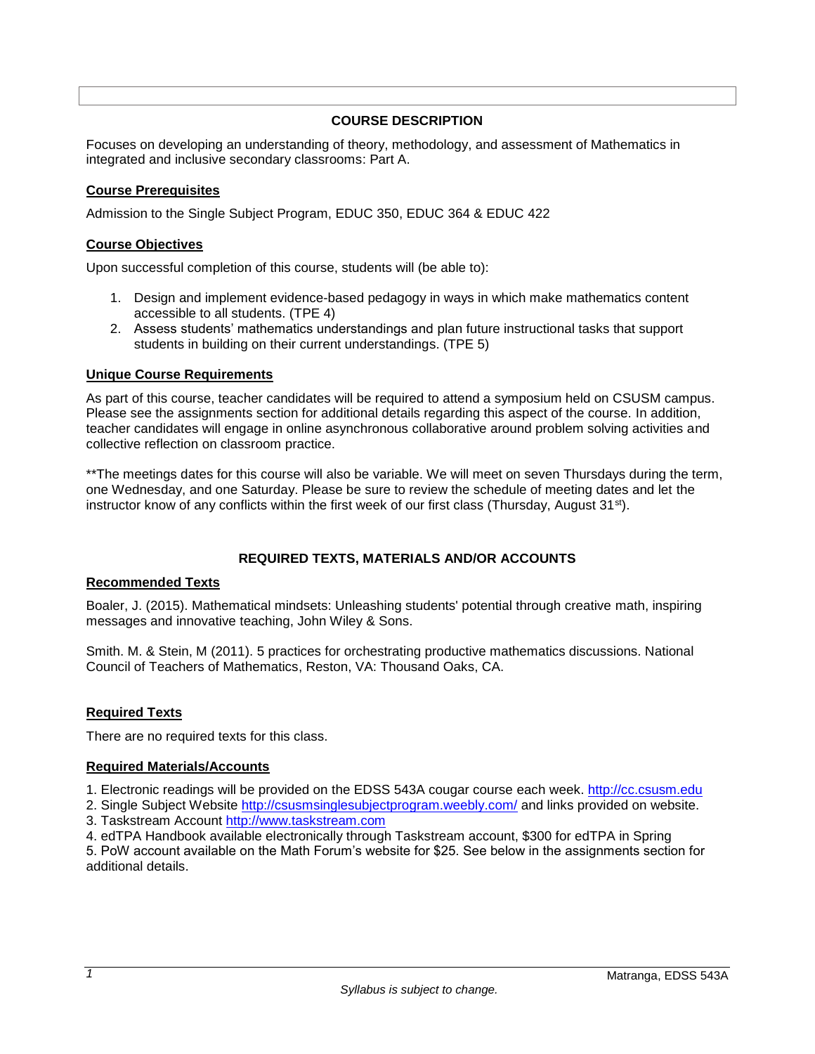## **COURSE DESCRIPTION**

<span id="page-2-0"></span>Focuses on developing an understanding of theory, methodology, and assessment of Mathematics in integrated and inclusive secondary classrooms: Part A.

## <span id="page-2-1"></span>**Course Prerequisites**

Admission to the Single Subject Program, EDUC 350, EDUC 364 & EDUC 422

## <span id="page-2-2"></span>**Course Objectives**

Upon successful completion of this course, students will (be able to):

- 1. Design and implement evidence-based pedagogy in ways in which make mathematics content accessible to all students. (TPE 4)
- 2. Assess students' mathematics understandings and plan future instructional tasks that support students in building on their current understandings. (TPE 5)

## <span id="page-2-3"></span>**Unique Course Requirements**

As part of this course, teacher candidates will be required to attend a symposium held on CSUSM campus. Please see the assignments section for additional details regarding this aspect of the course. In addition, teacher candidates will engage in online asynchronous collaborative around problem solving activities and collective reflection on classroom practice.

\*\*The meetings dates for this course will also be variable. We will meet on seven Thursdays during the term, one Wednesday, and one Saturday. Please be sure to review the schedule of meeting dates and let the instructor know of any conflicts within the first week of our first class (Thursday, August  $31^{st}$ ).

## **REQUIRED TEXTS, MATERIALS AND/OR ACCOUNTS**

## <span id="page-2-5"></span><span id="page-2-4"></span>**Recommended Texts**

Boaler, J. (2015). Mathematical mindsets: Unleashing students' potential through creative math, inspiring messages and innovative teaching, John Wiley & Sons.

Smith. M. & Stein, M (2011). 5 practices for orchestrating productive mathematics discussions. National Council of Teachers of Mathematics, Reston, VA: Thousand Oaks, CA.

## <span id="page-2-6"></span>**Required Texts**

There are no required texts for this class.

## <span id="page-2-7"></span>**Required Materials/Accounts**

1. Electronic readings will be provided on the EDSS 543A cougar course each week. [http://cc.csusm.edu](http://cc.csusm.edu/)

- 2. Single Subject Website <http://csusmsinglesubjectprogram.weebly.com/> and links provided on website.
- 3. Taskstream Account [http://www.taskstream.com](http://www.taskstream.com/)
- 4. edTPA Handbook available electronically through Taskstream account, \$300 for edTPA in Spring

5. PoW account available on the Math Forum's website for \$25. See below in the assignments section for additional details.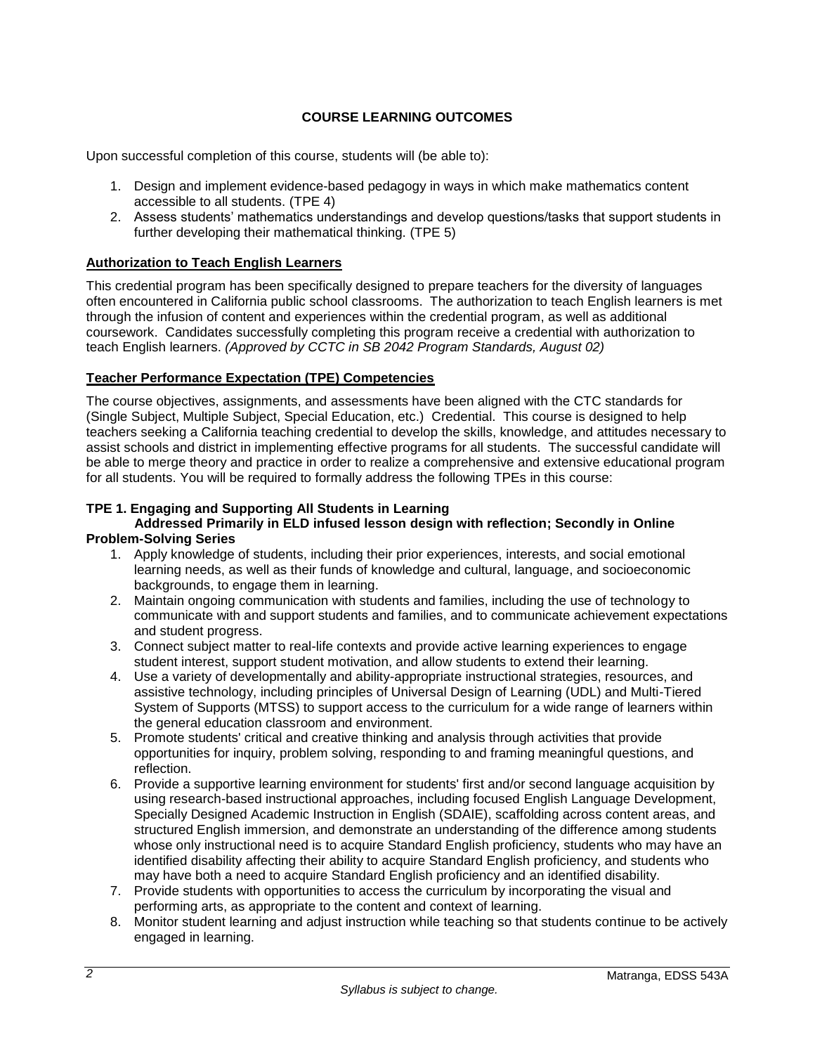# **COURSE LEARNING OUTCOMES**

<span id="page-3-0"></span>Upon successful completion of this course, students will (be able to):

- 1. Design and implement evidence-based pedagogy in ways in which make mathematics content accessible to all students. (TPE 4)
- 2. Assess students' mathematics understandings and develop questions/tasks that support students in further developing their mathematical thinking. (TPE 5)

## <span id="page-3-1"></span>**Authorization to Teach English Learners**

This credential program has been specifically designed to prepare teachers for the diversity of languages often encountered in California public school classrooms. The authorization to teach English learners is met through the infusion of content and experiences within the credential program, as well as additional coursework. Candidates successfully completing this program receive a credential with authorization to teach English learners. *(Approved by CCTC in SB 2042 Program Standards, August 02)*

## <span id="page-3-2"></span>**Teacher Performance Expectation (TPE) Competencies**

The course objectives, assignments, and assessments have been aligned with the CTC standards for (Single Subject, Multiple Subject, Special Education, etc.) Credential. This course is designed to help teachers seeking a California teaching credential to develop the skills, knowledge, and attitudes necessary to assist schools and district in implementing effective programs for all students. The successful candidate will be able to merge theory and practice in order to realize a comprehensive and extensive educational program for all students. You will be required to formally address the following TPEs in this course:

## **TPE 1. Engaging and Supporting All Students in Learning**

### **Addressed Primarily in ELD infused lesson design with reflection; Secondly in Online Problem-Solving Series**

- 1. Apply knowledge of students, including their prior experiences, interests, and social emotional learning needs, as well as their funds of knowledge and cultural, language, and socioeconomic backgrounds, to engage them in learning.
- 2. Maintain ongoing communication with students and families, including the use of technology to communicate with and support students and families, and to communicate achievement expectations and student progress.
- 3. Connect subject matter to real-life contexts and provide active learning experiences to engage student interest, support student motivation, and allow students to extend their learning.
- 4. Use a variety of developmentally and ability-appropriate instructional strategies, resources, and assistive technology, including principles of Universal Design of Learning (UDL) and Multi-Tiered System of Supports (MTSS) to support access to the curriculum for a wide range of learners within the general education classroom and environment.
- 5. Promote students' critical and creative thinking and analysis through activities that provide opportunities for inquiry, problem solving, responding to and framing meaningful questions, and reflection.
- 6. Provide a supportive learning environment for students' first and/or second language acquisition by using research-based instructional approaches, including focused English Language Development, Specially Designed Academic Instruction in English (SDAIE), scaffolding across content areas, and structured English immersion, and demonstrate an understanding of the difference among students whose only instructional need is to acquire Standard English proficiency, students who may have an identified disability affecting their ability to acquire Standard English proficiency, and students who may have both a need to acquire Standard English proficiency and an identified disability.
- 7. Provide students with opportunities to access the curriculum by incorporating the visual and performing arts, as appropriate to the content and context of learning.
- 8. Monitor student learning and adjust instruction while teaching so that students continue to be actively engaged in learning.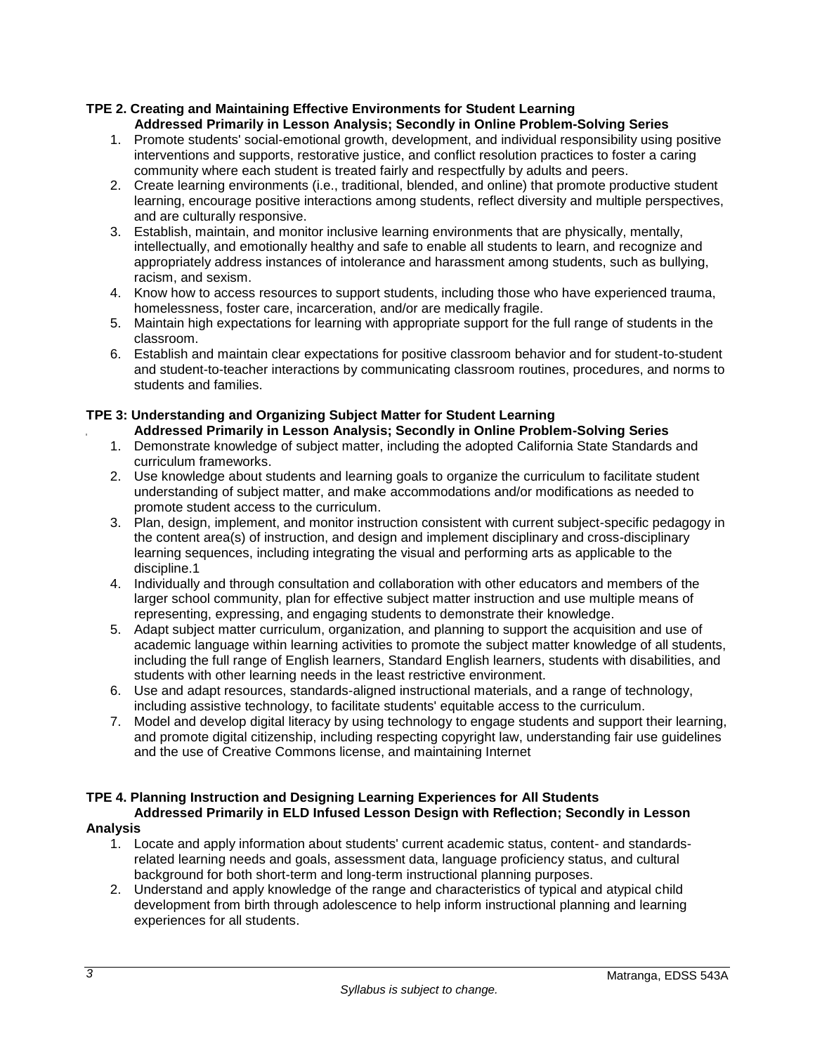## **TPE 2. Creating and Maintaining Effective Environments for Student Learning Addressed Primarily in Lesson Analysis; Secondly in Online Problem-Solving Series**

- 1. Promote students' social-emotional growth, development, and individual responsibility using positive interventions and supports, restorative justice, and conflict resolution practices to foster a caring community where each student is treated fairly and respectfully by adults and peers.
- 2. Create learning environments (i.e., traditional, blended, and online) that promote productive student learning, encourage positive interactions among students, reflect diversity and multiple perspectives, and are culturally responsive.
- 3. Establish, maintain, and monitor inclusive learning environments that are physically, mentally, intellectually, and emotionally healthy and safe to enable all students to learn, and recognize and appropriately address instances of intolerance and harassment among students, such as bullying, racism, and sexism.
- 4. Know how to access resources to support students, including those who have experienced trauma, homelessness, foster care, incarceration, and/or are medically fragile.
- 5. Maintain high expectations for learning with appropriate support for the full range of students in the classroom.
- 6. Establish and maintain clear expectations for positive classroom behavior and for student-to-student and student-to-teacher interactions by communicating classroom routines, procedures, and norms to students and families.

# **TPE 3: Understanding and Organizing Subject Matter for Student Learning**

- **Addressed Primarily in Lesson Analysis; Secondly in Online Problem-Solving Series**
- 1. Demonstrate knowledge of subject matter, including the adopted California State Standards and curriculum frameworks.
- 2. Use knowledge about students and learning goals to organize the curriculum to facilitate student understanding of subject matter, and make accommodations and/or modifications as needed to promote student access to the curriculum.
- 3. Plan, design, implement, and monitor instruction consistent with current subject-specific pedagogy in the content area(s) of instruction, and design and implement disciplinary and cross-disciplinary learning sequences, including integrating the visual and performing arts as applicable to the discipline.1
- 4. Individually and through consultation and collaboration with other educators and members of the larger school community, plan for effective subject matter instruction and use multiple means of representing, expressing, and engaging students to demonstrate their knowledge.
- 5. Adapt subject matter curriculum, organization, and planning to support the acquisition and use of academic language within learning activities to promote the subject matter knowledge of all students, including the full range of English learners, Standard English learners, students with disabilities, and students with other learning needs in the least restrictive environment.
- 6. Use and adapt resources, standards-aligned instructional materials, and a range of technology, including assistive technology, to facilitate students' equitable access to the curriculum.
- 7. Model and develop digital literacy by using technology to engage students and support their learning, and promote digital citizenship, including respecting copyright law, understanding fair use guidelines and the use of Creative Commons license, and maintaining Internet

# **TPE 4. Planning Instruction and Designing Learning Experiences for All Students**

## **Addressed Primarily in ELD Infused Lesson Design with Reflection; Secondly in Lesson Analysis**

- 1. Locate and apply information about students' current academic status, content- and standardsrelated learning needs and goals, assessment data, language proficiency status, and cultural background for both short-term and long-term instructional planning purposes.
- 2. Understand and apply knowledge of the range and characteristics of typical and atypical child development from birth through adolescence to help inform instructional planning and learning experiences for all students.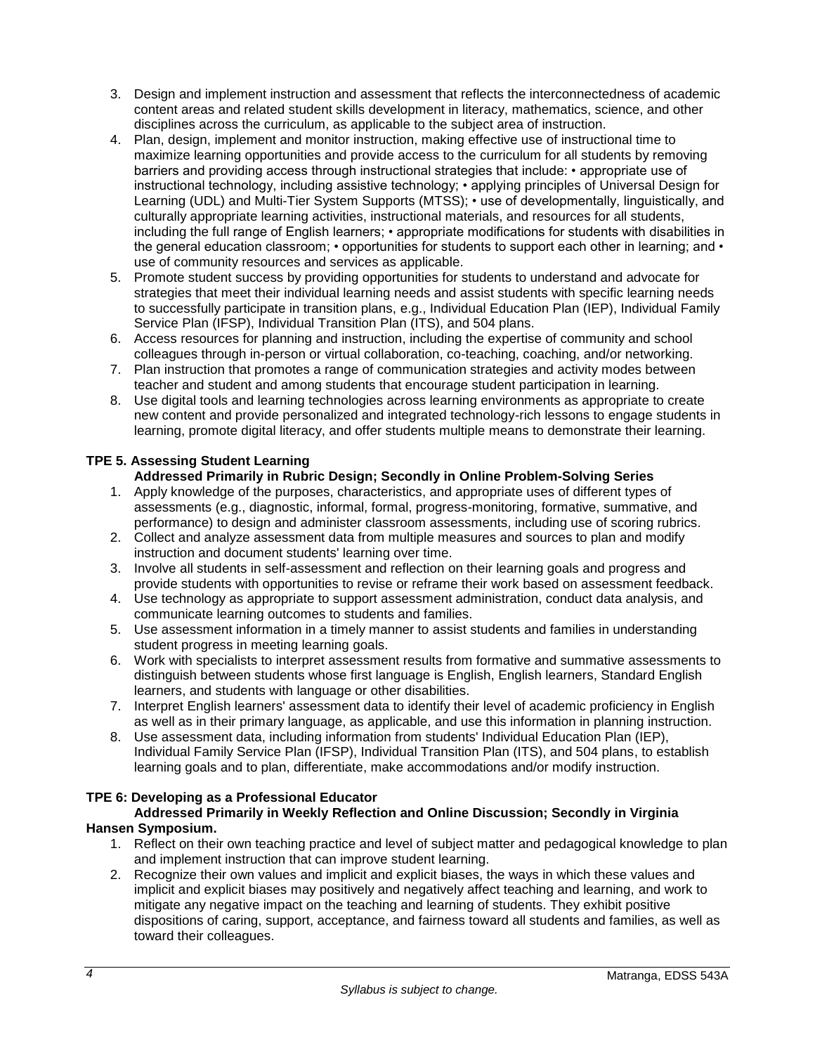- 3. Design and implement instruction and assessment that reflects the interconnectedness of academic content areas and related student skills development in literacy, mathematics, science, and other disciplines across the curriculum, as applicable to the subject area of instruction.
- 4. Plan, design, implement and monitor instruction, making effective use of instructional time to maximize learning opportunities and provide access to the curriculum for all students by removing barriers and providing access through instructional strategies that include: • appropriate use of instructional technology, including assistive technology; • applying principles of Universal Design for Learning (UDL) and Multi-Tier System Supports (MTSS); • use of developmentally, linguistically, and culturally appropriate learning activities, instructional materials, and resources for all students, including the full range of English learners; • appropriate modifications for students with disabilities in the general education classroom; • opportunities for students to support each other in learning; and • use of community resources and services as applicable.
- 5. Promote student success by providing opportunities for students to understand and advocate for strategies that meet their individual learning needs and assist students with specific learning needs to successfully participate in transition plans, e.g., Individual Education Plan (IEP), Individual Family Service Plan (IFSP), Individual Transition Plan (ITS), and 504 plans.
- 6. Access resources for planning and instruction, including the expertise of community and school colleagues through in-person or virtual collaboration, co-teaching, coaching, and/or networking.
- 7. Plan instruction that promotes a range of communication strategies and activity modes between teacher and student and among students that encourage student participation in learning.
- 8. Use digital tools and learning technologies across learning environments as appropriate to create new content and provide personalized and integrated technology-rich lessons to engage students in learning, promote digital literacy, and offer students multiple means to demonstrate their learning.

# **TPE 5. Assessing Student Learning**

# **Addressed Primarily in Rubric Design; Secondly in Online Problem-Solving Series**

- 1. Apply knowledge of the purposes, characteristics, and appropriate uses of different types of assessments (e.g., diagnostic, informal, formal, progress-monitoring, formative, summative, and performance) to design and administer classroom assessments, including use of scoring rubrics.
- 2. Collect and analyze assessment data from multiple measures and sources to plan and modify instruction and document students' learning over time.
- 3. Involve all students in self-assessment and reflection on their learning goals and progress and provide students with opportunities to revise or reframe their work based on assessment feedback.
- 4. Use technology as appropriate to support assessment administration, conduct data analysis, and communicate learning outcomes to students and families.
- 5. Use assessment information in a timely manner to assist students and families in understanding student progress in meeting learning goals.
- 6. Work with specialists to interpret assessment results from formative and summative assessments to distinguish between students whose first language is English, English learners, Standard English learners, and students with language or other disabilities.
- 7. Interpret English learners' assessment data to identify their level of academic proficiency in English as well as in their primary language, as applicable, and use this information in planning instruction.
- 8. Use assessment data, including information from students' Individual Education Plan (IEP), Individual Family Service Plan (IFSP), Individual Transition Plan (ITS), and 504 plans, to establish learning goals and to plan, differentiate, make accommodations and/or modify instruction.

## **TPE 6: Developing as a Professional Educator**

## **Addressed Primarily in Weekly Reflection and Online Discussion; Secondly in Virginia Hansen Symposium.**

- 1. Reflect on their own teaching practice and level of subject matter and pedagogical knowledge to plan and implement instruction that can improve student learning.
- 2. Recognize their own values and implicit and explicit biases, the ways in which these values and implicit and explicit biases may positively and negatively affect teaching and learning, and work to mitigate any negative impact on the teaching and learning of students. They exhibit positive dispositions of caring, support, acceptance, and fairness toward all students and families, as well as toward their colleagues.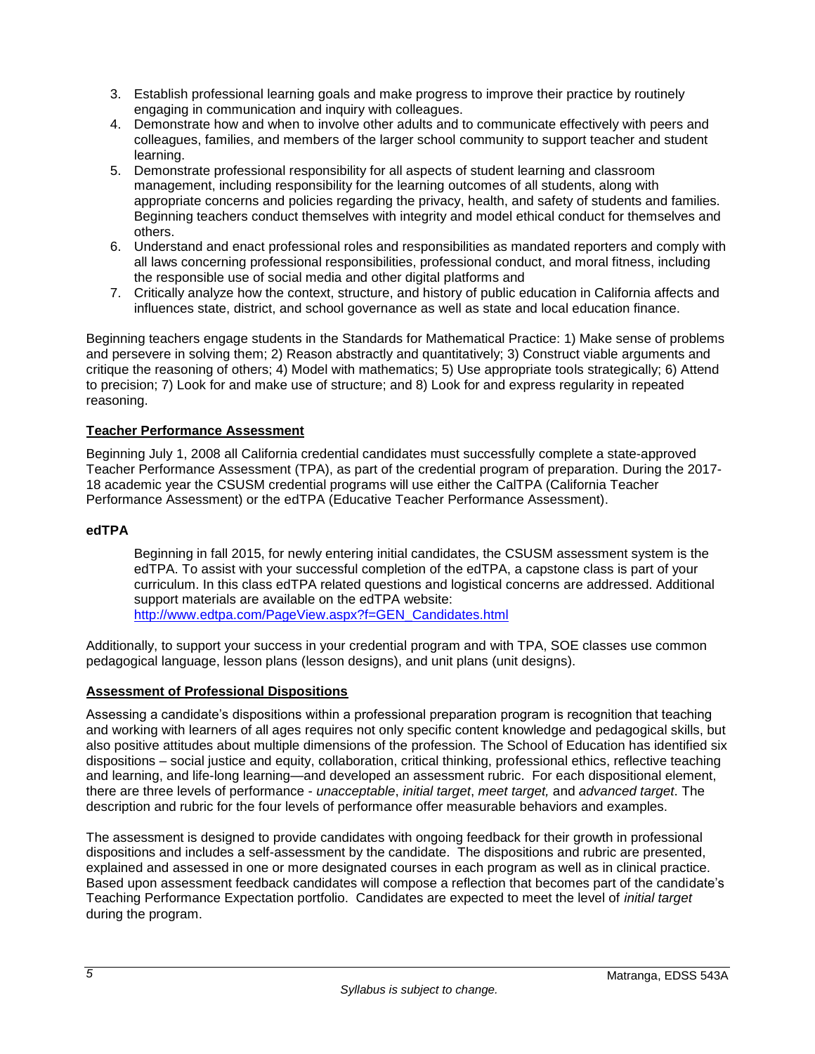- 3. Establish professional learning goals and make progress to improve their practice by routinely engaging in communication and inquiry with colleagues.
- 4. Demonstrate how and when to involve other adults and to communicate effectively with peers and colleagues, families, and members of the larger school community to support teacher and student learning.
- 5. Demonstrate professional responsibility for all aspects of student learning and classroom management, including responsibility for the learning outcomes of all students, along with appropriate concerns and policies regarding the privacy, health, and safety of students and families. Beginning teachers conduct themselves with integrity and model ethical conduct for themselves and others.
- 6. Understand and enact professional roles and responsibilities as mandated reporters and comply with all laws concerning professional responsibilities, professional conduct, and moral fitness, including the responsible use of social media and other digital platforms and
- 7. Critically analyze how the context, structure, and history of public education in California affects and influences state, district, and school governance as well as state and local education finance.

Beginning teachers engage students in the Standards for Mathematical Practice: 1) Make sense of problems and persevere in solving them; 2) Reason abstractly and quantitatively; 3) Construct viable arguments and critique the reasoning of others; 4) Model with mathematics; 5) Use appropriate tools strategically; 6) Attend to precision; 7) Look for and make use of structure; and 8) Look for and express regularity in repeated reasoning.

# <span id="page-6-0"></span>**Teacher Performance Assessment**

Beginning July 1, 2008 all California credential candidates must successfully complete a state-approved Teacher Performance Assessment (TPA), as part of the credential program of preparation. During the 2017- 18 academic year the CSUSM credential programs will use either the CalTPA (California Teacher Performance Assessment) or the edTPA (Educative Teacher Performance Assessment).

## <span id="page-6-1"></span>**edTPA**

Beginning in fall 2015, for newly entering initial candidates, the CSUSM assessment system is the edTPA. To assist with your successful completion of the edTPA, a capstone class is part of your curriculum. In this class edTPA related questions and logistical concerns are addressed. Additional support materials are available on the edTPA website: [http://www.edtpa.com/PageView.aspx?f=GEN\\_Candidates.html](http://www.edtpa.com/PageView.aspx?f=GEN_Candidates.html)

Additionally, to support your success in your credential program and with TPA, SOE classes use common pedagogical language, lesson plans (lesson designs), and unit plans (unit designs).

## <span id="page-6-2"></span>**Assessment of Professional Dispositions**

Assessing a candidate's dispositions within a professional preparation program is recognition that teaching and working with learners of all ages requires not only specific content knowledge and pedagogical skills, but also positive attitudes about multiple dimensions of the profession. The School of Education has identified six dispositions – social justice and equity, collaboration, critical thinking, professional ethics, reflective teaching and learning, and life-long learning—and developed an assessment rubric. For each dispositional element, there are three levels of performance - *unacceptable*, *initial target*, *meet target,* and *advanced target*. The description and rubric for the four levels of performance offer measurable behaviors and examples.

The assessment is designed to provide candidates with ongoing feedback for their growth in professional dispositions and includes a self-assessment by the candidate. The dispositions and rubric are presented, explained and assessed in one or more designated courses in each program as well as in clinical practice. Based upon assessment feedback candidates will compose a reflection that becomes part of the candidate's Teaching Performance Expectation portfolio. Candidates are expected to meet the level of *initial target* during the program.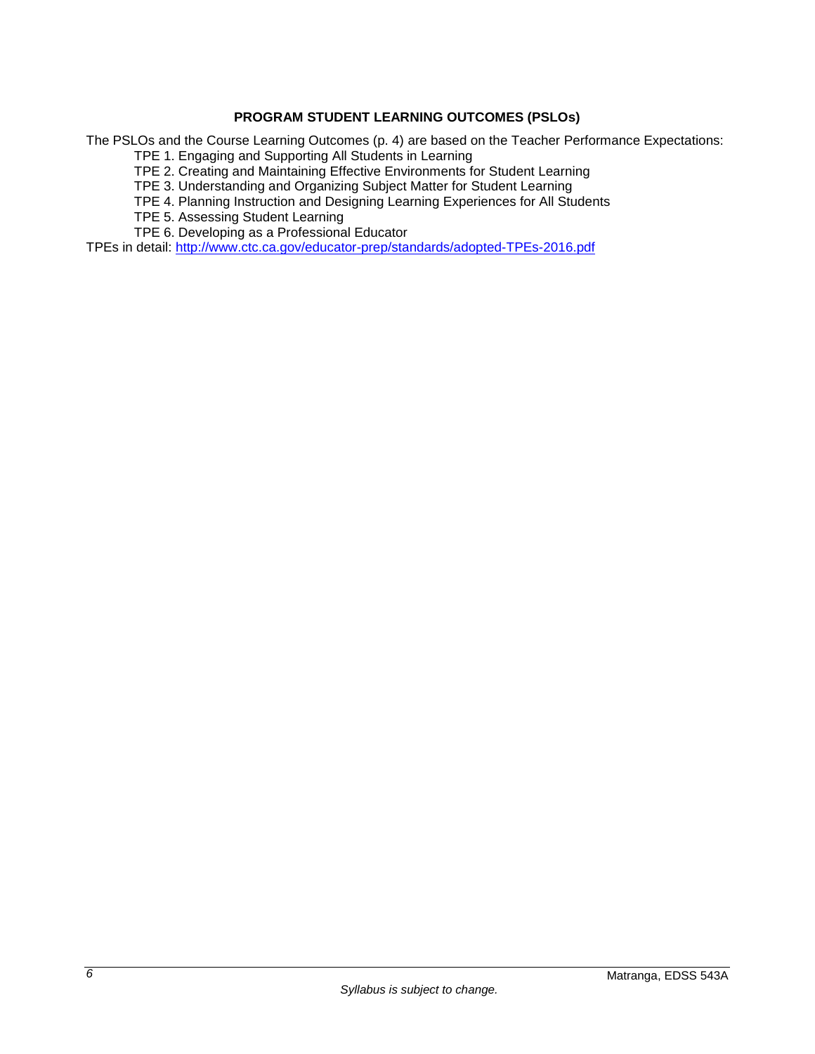# **PROGRAM STUDENT LEARNING OUTCOMES (PSLOs)**

<span id="page-7-0"></span>The PSLOs and the Course Learning Outcomes (p. 4) are based on the Teacher Performance Expectations:

TPE 1. Engaging and Supporting All Students in Learning

TPE 2. Creating and Maintaining Effective Environments for Student Learning

TPE 3. Understanding and Organizing Subject Matter for Student Learning

TPE 4. Planning Instruction and Designing Learning Experiences for All Students

TPE 5. Assessing Student Learning

TPE 6. Developing as a Professional Educator

TPEs in detail:<http://www.ctc.ca.gov/educator-prep/standards/adopted-TPEs-2016.pdf>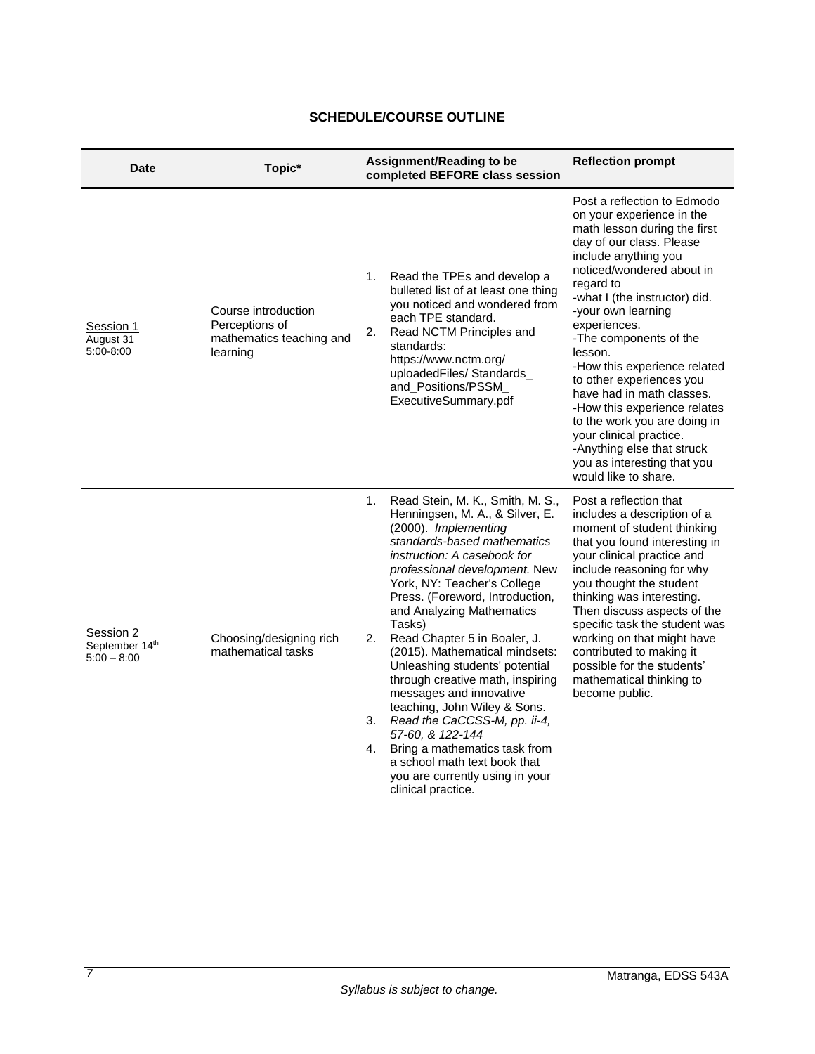<span id="page-8-0"></span>

| <b>Date</b>                                  | Topic*                                                                        | Assignment/Reading to be<br>completed BEFORE class session                                                                                                                                                                                                                                                                                                                                                                                                                                                                                                                                                                                                                                                | <b>Reflection prompt</b>                                                                                                                                                                                                                                                                                                                                                                                                                                                                                                                                                    |
|----------------------------------------------|-------------------------------------------------------------------------------|-----------------------------------------------------------------------------------------------------------------------------------------------------------------------------------------------------------------------------------------------------------------------------------------------------------------------------------------------------------------------------------------------------------------------------------------------------------------------------------------------------------------------------------------------------------------------------------------------------------------------------------------------------------------------------------------------------------|-----------------------------------------------------------------------------------------------------------------------------------------------------------------------------------------------------------------------------------------------------------------------------------------------------------------------------------------------------------------------------------------------------------------------------------------------------------------------------------------------------------------------------------------------------------------------------|
| Session 1<br>August 31<br>5:00-8:00          | Course introduction<br>Perceptions of<br>mathematics teaching and<br>learning | Read the TPEs and develop a<br>1.<br>bulleted list of at least one thing<br>you noticed and wondered from<br>each TPE standard.<br>Read NCTM Principles and<br>2.<br>standards:<br>https://www.nctm.org/<br>uploadedFiles/Standards<br>and_Positions/PSSM<br>ExecutiveSummary.pdf                                                                                                                                                                                                                                                                                                                                                                                                                         | Post a reflection to Edmodo<br>on your experience in the<br>math lesson during the first<br>day of our class. Please<br>include anything you<br>noticed/wondered about in<br>regard to<br>-what I (the instructor) did.<br>-your own learning<br>experiences.<br>-The components of the<br>lesson.<br>-How this experience related<br>to other experiences you<br>have had in math classes.<br>-How this experience relates<br>to the work you are doing in<br>your clinical practice.<br>-Anything else that struck<br>you as interesting that you<br>would like to share. |
| Session 2<br>September 14th<br>$5:00 - 8:00$ | Choosing/designing rich<br>mathematical tasks                                 | Read Stein, M. K., Smith, M. S.,<br>1.<br>Henningsen, M. A., & Silver, E.<br>(2000). Implementing<br>standards-based mathematics<br>instruction: A casebook for<br>professional development. New<br>York, NY: Teacher's College<br>Press. (Foreword, Introduction,<br>and Analyzing Mathematics<br>Tasks)<br>Read Chapter 5 in Boaler, J.<br>2.<br>(2015). Mathematical mindsets:<br>Unleashing students' potential<br>through creative math, inspiring<br>messages and innovative<br>teaching, John Wiley & Sons.<br>3. Read the CaCCSS-M, pp. ii-4,<br>57-60, & 122-144<br>Bring a mathematics task from<br>4.<br>a school math text book that<br>you are currently using in your<br>clinical practice. | Post a reflection that<br>includes a description of a<br>moment of student thinking<br>that you found interesting in<br>your clinical practice and<br>include reasoning for why<br>you thought the student<br>thinking was interesting.<br>Then discuss aspects of the<br>specific task the student was<br>working on that might have<br>contributed to making it<br>possible for the students'<br>mathematical thinking to<br>become public.                                                                                                                               |

# **SCHEDULE/COURSE OUTLINE**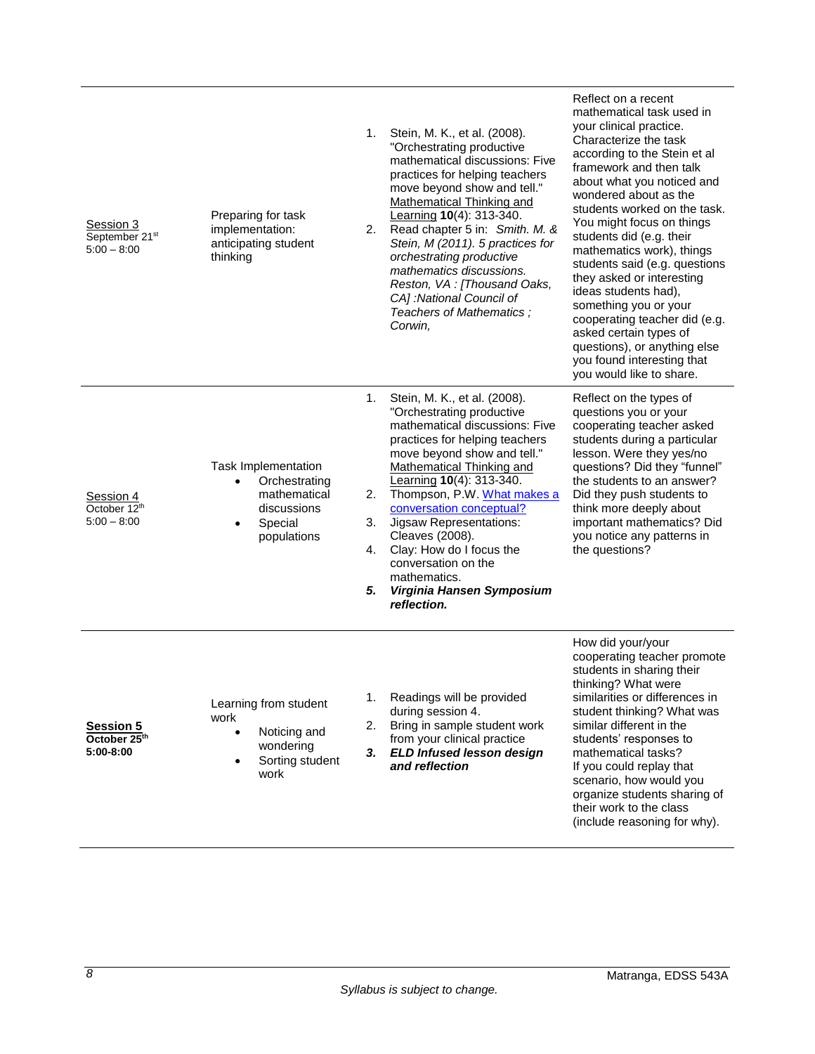| Session 3<br>September 21st<br>$5:00 - 8:00$  | Preparing for task<br>implementation:<br>anticipating student<br>thinking                                               | 1.<br>2.                   | Stein, M. K., et al. (2008).<br>"Orchestrating productive<br>mathematical discussions: Five<br>practices for helping teachers<br>move beyond show and tell."<br><b>Mathematical Thinking and</b><br>Learning 10(4): 313-340.<br>Read chapter 5 in: Smith. M. &<br>Stein, M (2011). 5 practices for<br>orchestrating productive<br>mathematics discussions.<br>Reston, VA : [Thousand Oaks,<br>CA] :National Council of<br>Teachers of Mathematics;<br>Corwin, | Reflect on a recent<br>mathematical task used in<br>your clinical practice.<br>Characterize the task<br>according to the Stein et al<br>framework and then talk<br>about what you noticed and<br>wondered about as the<br>students worked on the task.<br>You might focus on things<br>students did (e.g. their<br>mathematics work), things<br>students said (e.g. questions<br>they asked or interesting<br>ideas students had),<br>something you or your<br>cooperating teacher did (e.g.<br>asked certain types of<br>questions), or anything else<br>you found interesting that<br>you would like to share. |
|-----------------------------------------------|-------------------------------------------------------------------------------------------------------------------------|----------------------------|---------------------------------------------------------------------------------------------------------------------------------------------------------------------------------------------------------------------------------------------------------------------------------------------------------------------------------------------------------------------------------------------------------------------------------------------------------------|------------------------------------------------------------------------------------------------------------------------------------------------------------------------------------------------------------------------------------------------------------------------------------------------------------------------------------------------------------------------------------------------------------------------------------------------------------------------------------------------------------------------------------------------------------------------------------------------------------------|
| Session 4<br>October 12th<br>$5:00 - 8:00$    | Task Implementation<br>Orchestrating<br>$\bullet$<br>mathematical<br>discussions<br>Special<br>$\bullet$<br>populations | 1.<br>2.<br>3.<br>4.<br>5. | Stein, M. K., et al. (2008).<br>"Orchestrating productive<br>mathematical discussions: Five<br>practices for helping teachers<br>move beyond show and tell."<br>Mathematical Thinking and<br>Learning 10(4): 313-340.<br>Thompson, P.W. What makes a<br>conversation conceptual?<br>Jigsaw Representations:<br>Cleaves (2008).<br>Clay: How do I focus the<br>conversation on the<br>mathematics.<br>Virginia Hansen Symposium<br>reflection.                 | Reflect on the types of<br>questions you or your<br>cooperating teacher asked<br>students during a particular<br>lesson. Were they yes/no<br>questions? Did they "funnel"<br>the students to an answer?<br>Did they push students to<br>think more deeply about<br>important mathematics? Did<br>you notice any patterns in<br>the questions?                                                                                                                                                                                                                                                                    |
| <b>Session 5</b><br>October 25th<br>5:00-8:00 | Learning from student<br>work<br>Noticing and<br>$\bullet$<br>wondering<br>Sorting student<br>work                      | 1.<br>2.<br>3.             | Readings will be provided<br>during session 4.<br>Bring in sample student work<br>from your clinical practice<br><b>ELD Infused lesson design</b><br>and reflection                                                                                                                                                                                                                                                                                           | How did your/your<br>cooperating teacher promote<br>students in sharing their<br>thinking? What were<br>similarities or differences in<br>student thinking? What was<br>similar different in the<br>students' responses to<br>mathematical tasks?<br>If you could replay that<br>scenario, how would you<br>organize students sharing of<br>their work to the class<br>(include reasoning for why).                                                                                                                                                                                                              |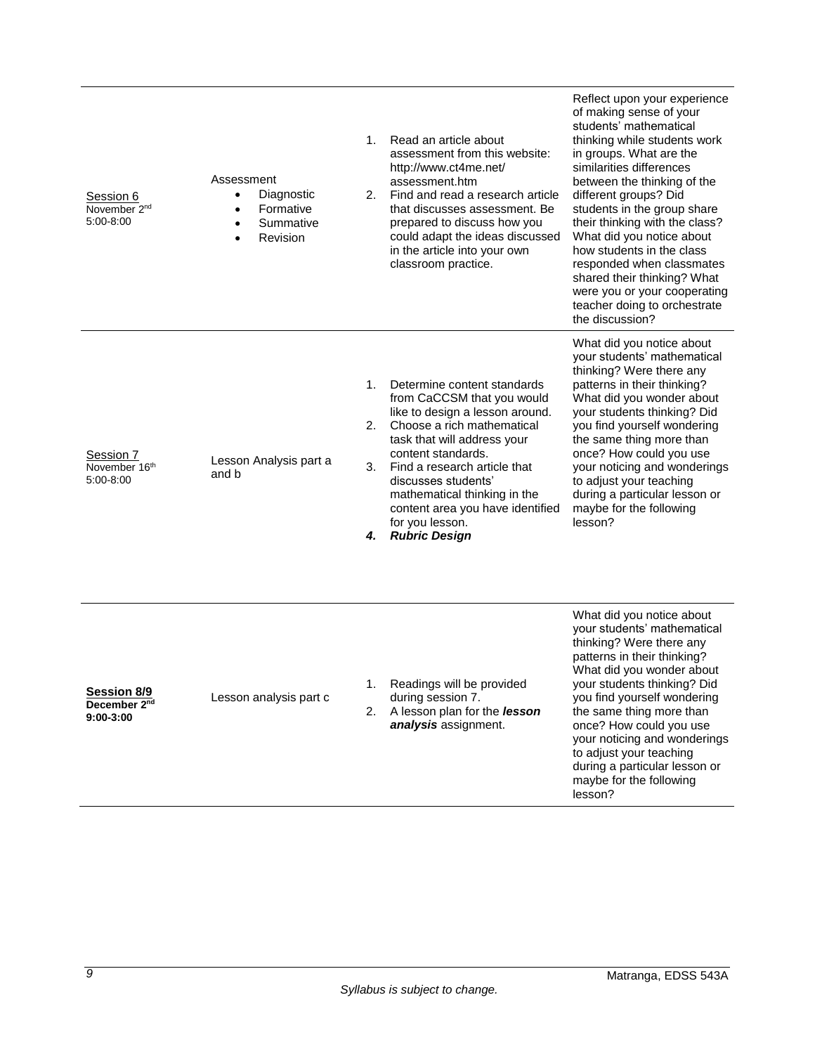| Session 6<br>November 2 <sup>nd</sup><br>5:00-8:00   | Assessment<br>Diagnostic<br>$\bullet$<br>Formative<br>$\bullet$<br>Summative<br>$\bullet$<br>Revision | 1.<br>2.             | Read an article about<br>assessment from this website:<br>http://www.ct4me.net/<br>assessment.htm<br>Find and read a research article<br>that discusses assessment. Be<br>prepared to discuss how you<br>could adapt the ideas discussed<br>in the article into your own<br>classroom practice.                                                       | Reflect upon your experience<br>of making sense of your<br>students' mathematical<br>thinking while students work<br>in groups. What are the<br>similarities differences<br>between the thinking of the<br>different groups? Did<br>students in the group share<br>their thinking with the class?<br>What did you notice about<br>how students in the class<br>responded when classmates<br>shared their thinking? What<br>were you or your cooperating<br>teacher doing to orchestrate<br>the discussion? |
|------------------------------------------------------|-------------------------------------------------------------------------------------------------------|----------------------|-------------------------------------------------------------------------------------------------------------------------------------------------------------------------------------------------------------------------------------------------------------------------------------------------------------------------------------------------------|------------------------------------------------------------------------------------------------------------------------------------------------------------------------------------------------------------------------------------------------------------------------------------------------------------------------------------------------------------------------------------------------------------------------------------------------------------------------------------------------------------|
| Session 7<br>November 16th<br>5:00-8:00              | Lesson Analysis part a<br>and b                                                                       | 1.<br>2.<br>3.<br>4. | Determine content standards<br>from CaCCSM that you would<br>like to design a lesson around.<br>Choose a rich mathematical<br>task that will address your<br>content standards.<br>Find a research article that<br>discusses students'<br>mathematical thinking in the<br>content area you have identified<br>for you lesson.<br><b>Rubric Design</b> | What did you notice about<br>your students' mathematical<br>thinking? Were there any<br>patterns in their thinking?<br>What did you wonder about<br>your students thinking? Did<br>you find yourself wondering<br>the same thing more than<br>once? How could you use<br>your noticing and wonderings<br>to adjust your teaching<br>during a particular lesson or<br>maybe for the following<br>lesson?                                                                                                    |
| Session 8/9<br>December 2 <sup>nd</sup><br>9:00-3:00 | Lesson analysis part c                                                                                | 2.                   | Readings will be provided<br>during session 7.<br>A lesson plan for the <i>lesson</i><br>analysis assignment.                                                                                                                                                                                                                                         | What did you notice about<br>your students' mathematical<br>thinking? Were there any<br>patterns in their thinking?<br>What did you wonder about<br>your students thinking? Did<br>you find yourself wondering<br>the same thing more than<br>once? How could you use<br>your noticing and wonderings<br>to adjust your teaching<br>during a particular lesson or<br>maybe for the following<br>lesson?                                                                                                    |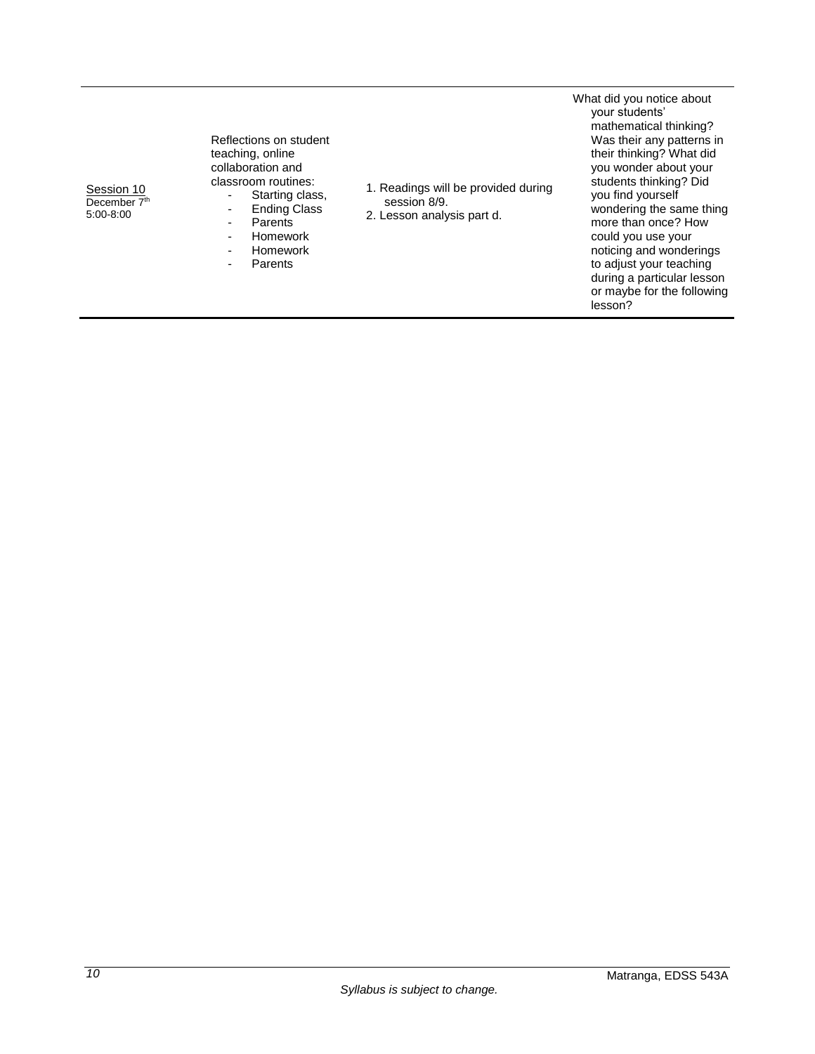Reflections on student teaching, online collaboration and classroom routines:

1. Readings will be provided during

session 8/9. 2. Lesson analysis part d.

- Starting class, - Ending Class
- Parents
- Homework - Homework
- **Parents**

What did you notice about your students' mathematical thinking? Was their any patterns in their thinking? What did you wonder about your students thinking? Did you find yourself wondering the same thing more than once? How could you use your noticing and wonderings to adjust your teaching during a particular lesson or maybe for the following lesson?

Session 10 December 7<sup>th</sup> 5:00-8:00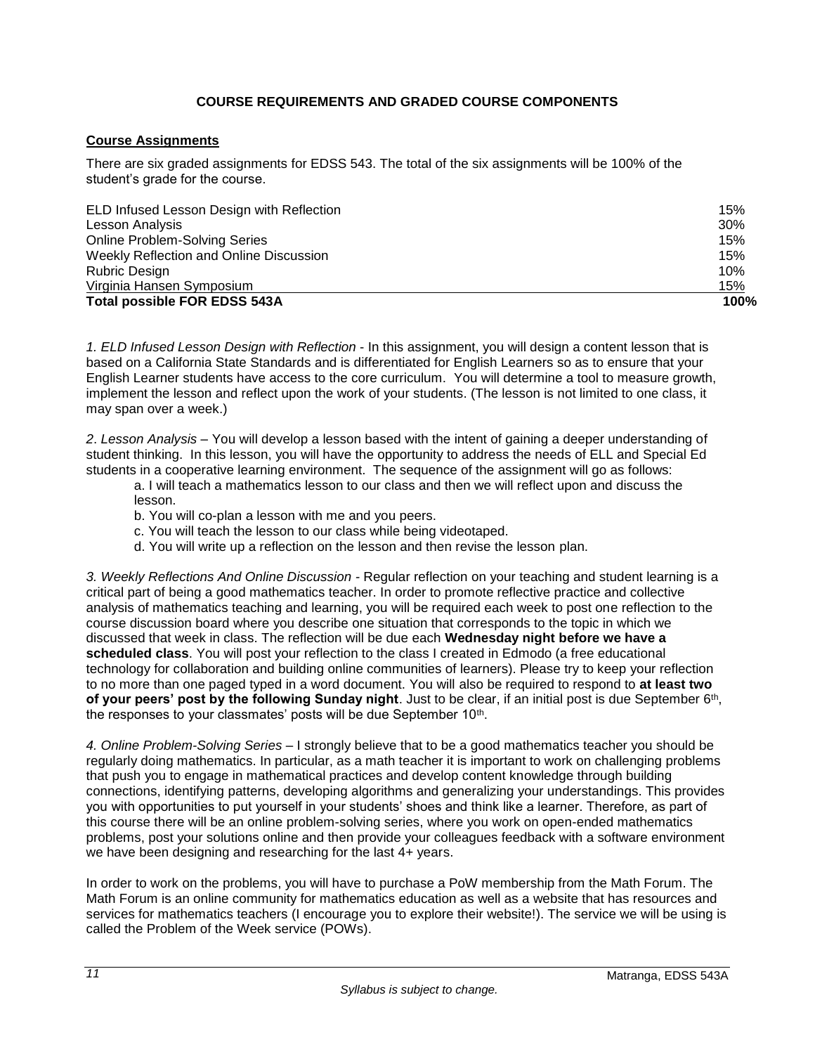## **COURSE REQUIREMENTS AND GRADED COURSE COMPONENTS**

## <span id="page-12-1"></span><span id="page-12-0"></span>**Course Assignments**

There are six graded assignments for EDSS 543. The total of the six assignments will be 100% of the student's grade for the course.

| ELD Infused Lesson Design with Reflection | 15%  |
|-------------------------------------------|------|
| Lesson Analysis                           | 30%  |
| <b>Online Problem-Solving Series</b>      | 15%  |
| Weekly Reflection and Online Discussion   | 15%  |
| Rubric Design                             | 10%  |
| Virginia Hansen Symposium                 | 15%  |
| <b>Total possible FOR EDSS 543A</b>       | 100% |

*1. ELD Infused Lesson Design with Reflection* - In this assignment, you will design a content lesson that is based on a California State Standards and is differentiated for English Learners so as to ensure that your English Learner students have access to the core curriculum. You will determine a tool to measure growth, implement the lesson and reflect upon the work of your students. (The lesson is not limited to one class, it may span over a week.)

*2*. *Lesson Analysis* – You will develop a lesson based with the intent of gaining a deeper understanding of student thinking. In this lesson, you will have the opportunity to address the needs of ELL and Special Ed students in a cooperative learning environment. The sequence of the assignment will go as follows:

a. I will teach a mathematics lesson to our class and then we will reflect upon and discuss the lesson.

b. You will co-plan a lesson with me and you peers.

- c. You will teach the lesson to our class while being videotaped.
- d. You will write up a reflection on the lesson and then revise the lesson plan.

*3. Weekly Reflections And Online Discussion -* Regular reflection on your teaching and student learning is a critical part of being a good mathematics teacher. In order to promote reflective practice and collective analysis of mathematics teaching and learning, you will be required each week to post one reflection to the course discussion board where you describe one situation that corresponds to the topic in which we discussed that week in class. The reflection will be due each **Wednesday night before we have a scheduled class**. You will post your reflection to the class I created in Edmodo (a free educational technology for collaboration and building online communities of learners). Please try to keep your reflection to no more than one paged typed in a word document. You will also be required to respond to **at least two**  of your peers' post by the following Sunday night. Just to be clear, if an initial post is due September 6<sup>th</sup>, the responses to your classmates' posts will be due September 10<sup>th</sup>.

*4. Online Problem-Solving Series* – I strongly believe that to be a good mathematics teacher you should be regularly doing mathematics. In particular, as a math teacher it is important to work on challenging problems that push you to engage in mathematical practices and develop content knowledge through building connections, identifying patterns, developing algorithms and generalizing your understandings. This provides you with opportunities to put yourself in your students' shoes and think like a learner. Therefore, as part of this course there will be an online problem-solving series, where you work on open-ended mathematics problems, post your solutions online and then provide your colleagues feedback with a software environment we have been designing and researching for the last 4+ years.

In order to work on the problems, you will have to purchase a PoW membership from the Math Forum. The Math Forum is an online community for mathematics education as well as a website that has resources and services for mathematics teachers (I encourage you to explore their website!). The service we will be using is called the Problem of the Week service (POWs).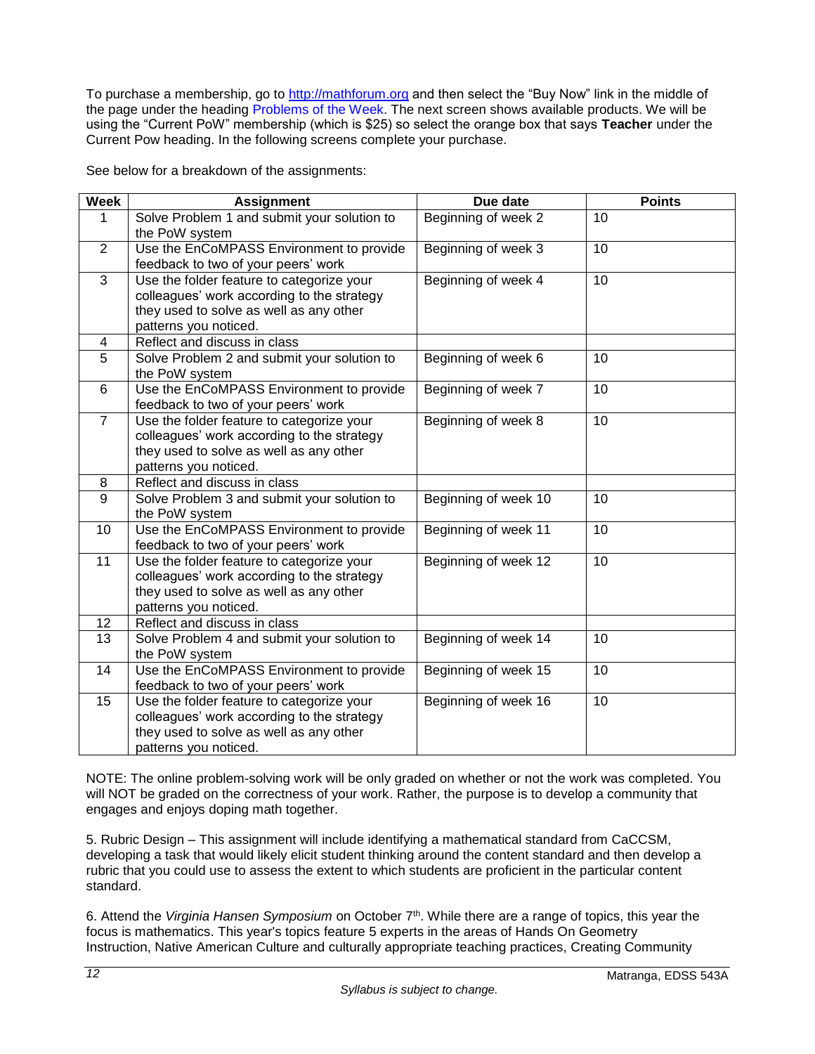To purchase a membership, go to [http://mathforum.org](http://mathforum.org/) and then select the "Buy Now" link in the middle of the page under the heading Problems of the Week. The next screen shows available products. We will be using the "Current PoW" membership (which is \$25) so select the orange box that says **Teacher** under the Current Pow heading. In the following screens complete your purchase.

See below for a breakdown of the assignments:

| <b>Week</b>    | <b>Assignment</b>                                             | Due date             | <b>Points</b> |
|----------------|---------------------------------------------------------------|----------------------|---------------|
| 1              | Solve Problem 1 and submit your solution to                   | Beginning of week 2  | 10            |
|                | the PoW system                                                |                      |               |
| 2              | Use the EnCoMPASS Environment to provide                      | Beginning of week 3  | 10            |
|                | feedback to two of your peers' work                           |                      |               |
| 3              | Use the folder feature to categorize your                     | Beginning of week 4  | 10            |
|                | colleagues' work according to the strategy                    |                      |               |
|                | they used to solve as well as any other                       |                      |               |
|                | patterns you noticed.                                         |                      |               |
| 4              | Reflect and discuss in class                                  |                      |               |
| 5              | Solve Problem 2 and submit your solution to<br>the PoW system | Beginning of week 6  | 10            |
| 6              | Use the EnCoMPASS Environment to provide                      | Beginning of week 7  | 10            |
|                | feedback to two of your peers' work                           |                      |               |
| $\overline{7}$ | Use the folder feature to categorize your                     | Beginning of week 8  | 10            |
|                | colleagues' work according to the strategy                    |                      |               |
|                | they used to solve as well as any other                       |                      |               |
|                | patterns you noticed.                                         |                      |               |
| 8              | Reflect and discuss in class                                  |                      |               |
| 9              | Solve Problem 3 and submit your solution to                   | Beginning of week 10 | 10            |
|                | the PoW system                                                |                      |               |
| 10             | Use the EnCoMPASS Environment to provide                      | Beginning of week 11 | 10            |
|                | feedback to two of your peers' work                           |                      |               |
| 11             | Use the folder feature to categorize your                     | Beginning of week 12 | 10            |
|                | colleagues' work according to the strategy                    |                      |               |
|                | they used to solve as well as any other                       |                      |               |
|                | patterns you noticed.                                         |                      |               |
| 12             | Reflect and discuss in class                                  |                      |               |
| 13             | Solve Problem 4 and submit your solution to                   | Beginning of week 14 | 10            |
| 14             | the PoW system<br>Use the EnCoMPASS Environment to provide    | Beginning of week 15 | 10            |
|                | feedback to two of your peers' work                           |                      |               |
| 15             | Use the folder feature to categorize your                     | Beginning of week 16 | 10            |
|                | colleagues' work according to the strategy                    |                      |               |
|                | they used to solve as well as any other                       |                      |               |
|                | patterns you noticed.                                         |                      |               |

NOTE: The online problem-solving work will be only graded on whether or not the work was completed. You will NOT be graded on the correctness of your work. Rather, the purpose is to develop a community that engages and enjoys doping math together.

5. Rubric Design – This assignment will include identifying a mathematical standard from CaCCSM, developing a task that would likely elicit student thinking around the content standard and then develop a rubric that you could use to assess the extent to which students are proficient in the particular content standard.

6. Attend the *Virginia Hansen Symposium* on October 7th. While there are a range of topics, this year the focus is mathematics. This year's topics feature 5 experts in the areas of Hands On Geometry Instruction, Native American Culture and culturally appropriate teaching practices, Creating Community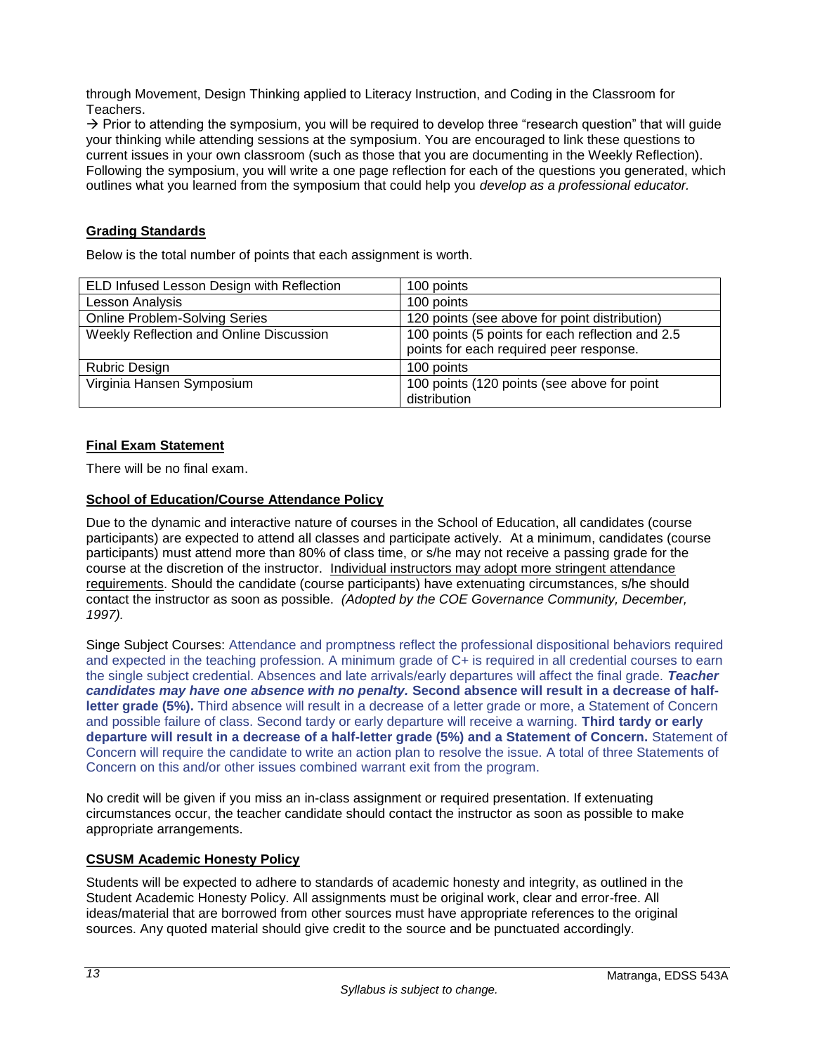through Movement, Design Thinking applied to Literacy Instruction, and Coding in the Classroom for Teachers.

 $\rightarrow$  Prior to attending the symposium, you will be required to develop three "research question" that will guide your thinking while attending sessions at the symposium. You are encouraged to link these questions to current issues in your own classroom (such as those that you are documenting in the Weekly Reflection). Following the symposium, you will write a one page reflection for each of the questions you generated, which outlines what you learned from the symposium that could help you *develop as a professional educator.*

# <span id="page-14-0"></span>**Grading Standards**

Below is the total number of points that each assignment is worth.

| ELD Infused Lesson Design with Reflection | 100 points                                       |
|-------------------------------------------|--------------------------------------------------|
| Lesson Analysis                           | 100 points                                       |
| <b>Online Problem-Solving Series</b>      | 120 points (see above for point distribution)    |
| Weekly Reflection and Online Discussion   | 100 points (5 points for each reflection and 2.5 |
|                                           | points for each required peer response.          |
| <b>Rubric Design</b>                      | 100 points                                       |
| Virginia Hansen Symposium                 | 100 points (120 points (see above for point      |
|                                           | distribution                                     |

# <span id="page-14-1"></span>**Final Exam Statement**

There will be no final exam.

## <span id="page-14-2"></span>**School of Education/Course Attendance Policy**

Due to the dynamic and interactive nature of courses in the School of Education, all candidates (course participants) are expected to attend all classes and participate actively. At a minimum, candidates (course participants) must attend more than 80% of class time, or s/he may not receive a passing grade for the course at the discretion of the instructor. Individual instructors may adopt more stringent attendance requirements. Should the candidate (course participants) have extenuating circumstances, s/he should contact the instructor as soon as possible. *(Adopted by the COE Governance Community, December, 1997).*

Singe Subject Courses: Attendance and promptness reflect the professional dispositional behaviors required and expected in the teaching profession. A minimum grade of C+ is required in all credential courses to earn the single subject credential. Absences and late arrivals/early departures will affect the final grade. *Teacher candidates may have one absence with no penalty.* **Second absence will result in a decrease of half**letter arade (5%). Third absence will result in a decrease of a letter grade or more, a Statement of Concern and possible failure of class. Second tardy or early departure will receive a warning. **Third tardy or early departure will result in a decrease of a half-letter grade (5%) and a Statement of Concern.** Statement of Concern will require the candidate to write an action plan to resolve the issue. A total of three Statements of Concern on this and/or other issues combined warrant exit from the program.

No credit will be given if you miss an in-class assignment or required presentation. If extenuating circumstances occur, the teacher candidate should contact the instructor as soon as possible to make appropriate arrangements.

## <span id="page-14-3"></span>**CSUSM Academic Honesty Policy**

Students will be expected to adhere to standards of academic honesty and integrity, as outlined in the Student Academic Honesty Policy. All assignments must be original work, clear and error-free. All ideas/material that are borrowed from other sources must have appropriate references to the original sources. Any quoted material should give credit to the source and be punctuated accordingly.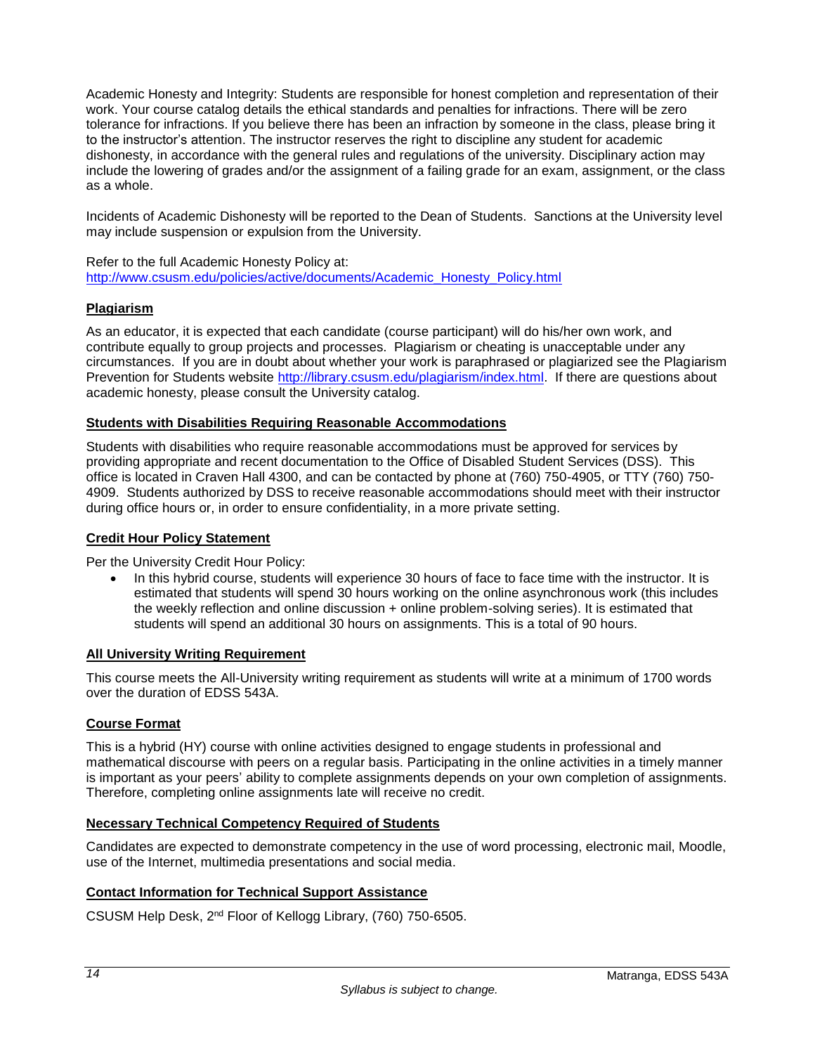Academic Honesty and Integrity: Students are responsible for honest completion and representation of their work. Your course catalog details the ethical standards and penalties for infractions. There will be zero tolerance for infractions. If you believe there has been an infraction by someone in the class, please bring it to the instructor's attention. The instructor reserves the right to discipline any student for academic dishonesty, in accordance with the general rules and regulations of the university. Disciplinary action may include the lowering of grades and/or the assignment of a failing grade for an exam, assignment, or the class as a whole.

Incidents of Academic Dishonesty will be reported to the Dean of Students. Sanctions at the University level may include suspension or expulsion from the University.

Refer to the full Academic Honesty Policy at: [http://www.csusm.edu/policies/active/documents/Academic\\_Honesty\\_Policy.html](http://www.csusm.edu/policies/active/documents/Academic_Honesty_Policy.html)

## <span id="page-15-0"></span>**Plagiarism**

As an educator, it is expected that each candidate (course participant) will do his/her own work, and contribute equally to group projects and processes. Plagiarism or cheating is unacceptable under any circumstances. If you are in doubt about whether your work is paraphrased or plagiarized see the Plagiarism Prevention for Students website [http://library.csusm.edu/plagiarism/index.html.](http://library.csusm.edu/plagiarism/index.html) If there are questions about academic honesty, please consult the University catalog.

## <span id="page-15-1"></span>**Students with Disabilities Requiring Reasonable Accommodations**

Students with disabilities who require reasonable accommodations must be approved for services by providing appropriate and recent documentation to the Office of Disabled Student Services (DSS). This office is located in Craven Hall 4300, and can be contacted by phone at (760) 750-4905, or TTY (760) 750- 4909. Students authorized by DSS to receive reasonable accommodations should meet with their instructor during office hours or, in order to ensure confidentiality, in a more private setting.

## <span id="page-15-2"></span>**Credit Hour Policy Statement**

Per the University Credit Hour Policy:

• In this hybrid course, students will experience 30 hours of face to face time with the instructor. It is estimated that students will spend 30 hours working on the online asynchronous work (this includes the weekly reflection and online discussion + online problem-solving series). It is estimated that students will spend an additional 30 hours on assignments. This is a total of 90 hours.

## <span id="page-15-3"></span>**All University Writing Requirement**

This course meets the All-University writing requirement as students will write at a minimum of 1700 words over the duration of EDSS 543A.

## <span id="page-15-4"></span>**Course Format**

This is a hybrid (HY) course with online activities designed to engage students in professional and mathematical discourse with peers on a regular basis. Participating in the online activities in a timely manner is important as your peers' ability to complete assignments depends on your own completion of assignments. Therefore, completing online assignments late will receive no credit.

## <span id="page-15-5"></span>**Necessary Technical Competency Required of Students**

Candidates are expected to demonstrate competency in the use of word processing, electronic mail, Moodle, use of the Internet, multimedia presentations and social media.

## <span id="page-15-6"></span>**Contact Information for Technical Support Assistance**

CSUSM Help Desk, 2nd Floor of Kellogg Library, (760) 750-6505.